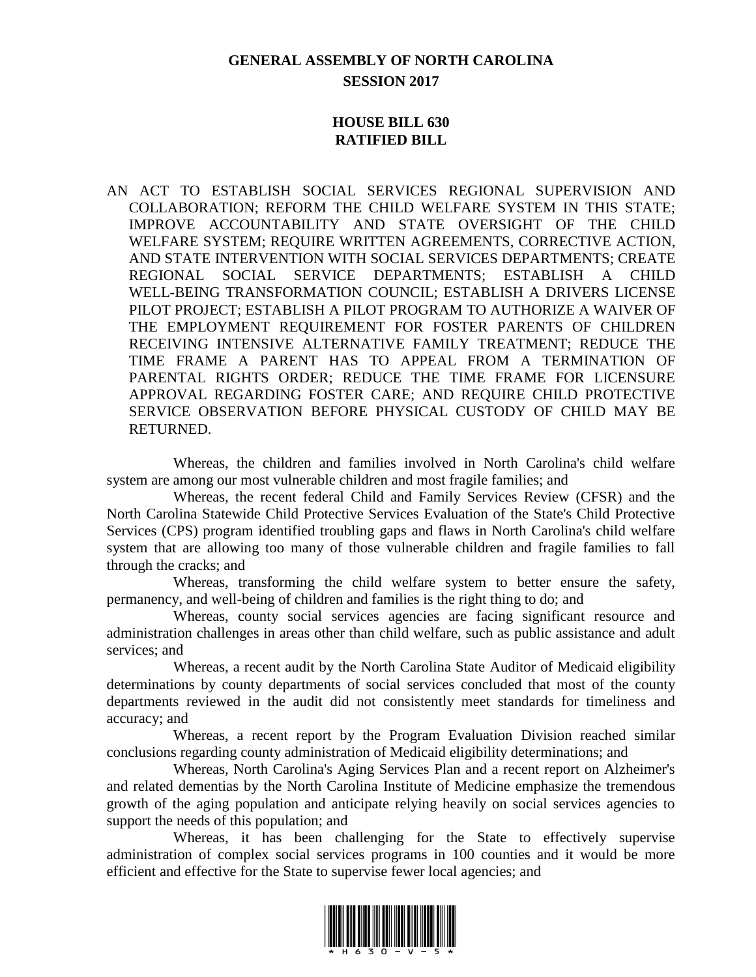## **GENERAL ASSEMBLY OF NORTH CAROLINA SESSION 2017**

#### **HOUSE BILL 630 RATIFIED BILL**

AN ACT TO ESTABLISH SOCIAL SERVICES REGIONAL SUPERVISION AND COLLABORATION; REFORM THE CHILD WELFARE SYSTEM IN THIS STATE; IMPROVE ACCOUNTABILITY AND STATE OVERSIGHT OF THE CHILD WELFARE SYSTEM; REQUIRE WRITTEN AGREEMENTS, CORRECTIVE ACTION, AND STATE INTERVENTION WITH SOCIAL SERVICES DEPARTMENTS; CREATE REGIONAL SOCIAL SERVICE DEPARTMENTS; ESTABLISH A CHILD WELL-BEING TRANSFORMATION COUNCIL; ESTABLISH A DRIVERS LICENSE PILOT PROJECT; ESTABLISH A PILOT PROGRAM TO AUTHORIZE A WAIVER OF THE EMPLOYMENT REQUIREMENT FOR FOSTER PARENTS OF CHILDREN RECEIVING INTENSIVE ALTERNATIVE FAMILY TREATMENT; REDUCE THE TIME FRAME A PARENT HAS TO APPEAL FROM A TERMINATION OF PARENTAL RIGHTS ORDER; REDUCE THE TIME FRAME FOR LICENSURE APPROVAL REGARDING FOSTER CARE; AND REQUIRE CHILD PROTECTIVE SERVICE OBSERVATION BEFORE PHYSICAL CUSTODY OF CHILD MAY BE RETURNED.

Whereas, the children and families involved in North Carolina's child welfare system are among our most vulnerable children and most fragile families; and

Whereas, the recent federal Child and Family Services Review (CFSR) and the North Carolina Statewide Child Protective Services Evaluation of the State's Child Protective Services (CPS) program identified troubling gaps and flaws in North Carolina's child welfare system that are allowing too many of those vulnerable children and fragile families to fall through the cracks; and

Whereas, transforming the child welfare system to better ensure the safety, permanency, and well-being of children and families is the right thing to do; and

Whereas, county social services agencies are facing significant resource and administration challenges in areas other than child welfare, such as public assistance and adult services; and

Whereas, a recent audit by the North Carolina State Auditor of Medicaid eligibility determinations by county departments of social services concluded that most of the county departments reviewed in the audit did not consistently meet standards for timeliness and accuracy; and

Whereas, a recent report by the Program Evaluation Division reached similar conclusions regarding county administration of Medicaid eligibility determinations; and

Whereas, North Carolina's Aging Services Plan and a recent report on Alzheimer's and related dementias by the North Carolina Institute of Medicine emphasize the tremendous growth of the aging population and anticipate relying heavily on social services agencies to support the needs of this population; and

Whereas, it has been challenging for the State to effectively supervise administration of complex social services programs in 100 counties and it would be more efficient and effective for the State to supervise fewer local agencies; and

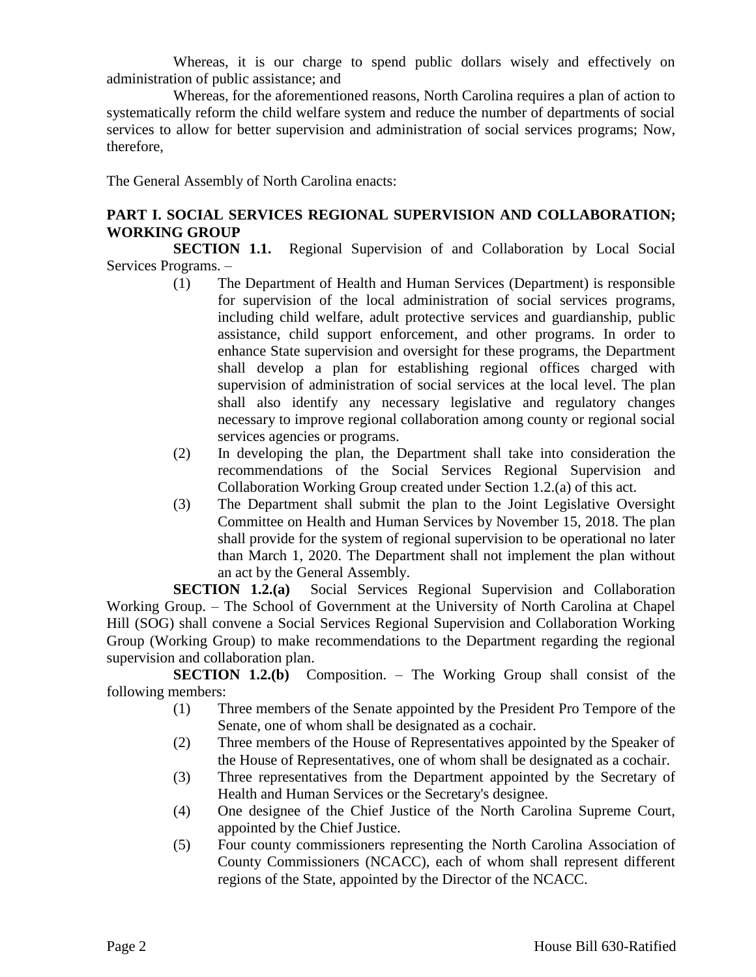Whereas, it is our charge to spend public dollars wisely and effectively on administration of public assistance; and

Whereas, for the aforementioned reasons, North Carolina requires a plan of action to systematically reform the child welfare system and reduce the number of departments of social services to allow for better supervision and administration of social services programs; Now, therefore,

The General Assembly of North Carolina enacts:

## **PART I. SOCIAL SERVICES REGIONAL SUPERVISION AND COLLABORATION; WORKING GROUP**

**SECTION 1.1.** Regional Supervision of and Collaboration by Local Social Services Programs. –

- (1) The Department of Health and Human Services (Department) is responsible for supervision of the local administration of social services programs, including child welfare, adult protective services and guardianship, public assistance, child support enforcement, and other programs. In order to enhance State supervision and oversight for these programs, the Department shall develop a plan for establishing regional offices charged with supervision of administration of social services at the local level. The plan shall also identify any necessary legislative and regulatory changes necessary to improve regional collaboration among county or regional social services agencies or programs.
- (2) In developing the plan, the Department shall take into consideration the recommendations of the Social Services Regional Supervision and Collaboration Working Group created under Section 1.2.(a) of this act.
- (3) The Department shall submit the plan to the Joint Legislative Oversight Committee on Health and Human Services by November 15, 2018. The plan shall provide for the system of regional supervision to be operational no later than March 1, 2020. The Department shall not implement the plan without an act by the General Assembly.

**SECTION 1.2.(a)** Social Services Regional Supervision and Collaboration Working Group. – The School of Government at the University of North Carolina at Chapel Hill (SOG) shall convene a Social Services Regional Supervision and Collaboration Working Group (Working Group) to make recommendations to the Department regarding the regional supervision and collaboration plan.

**SECTION 1.2.(b)** Composition. – The Working Group shall consist of the following members:

- (1) Three members of the Senate appointed by the President Pro Tempore of the Senate, one of whom shall be designated as a cochair.
- (2) Three members of the House of Representatives appointed by the Speaker of the House of Representatives, one of whom shall be designated as a cochair.
- (3) Three representatives from the Department appointed by the Secretary of Health and Human Services or the Secretary's designee.
- (4) One designee of the Chief Justice of the North Carolina Supreme Court, appointed by the Chief Justice.
- (5) Four county commissioners representing the North Carolina Association of County Commissioners (NCACC), each of whom shall represent different regions of the State, appointed by the Director of the NCACC.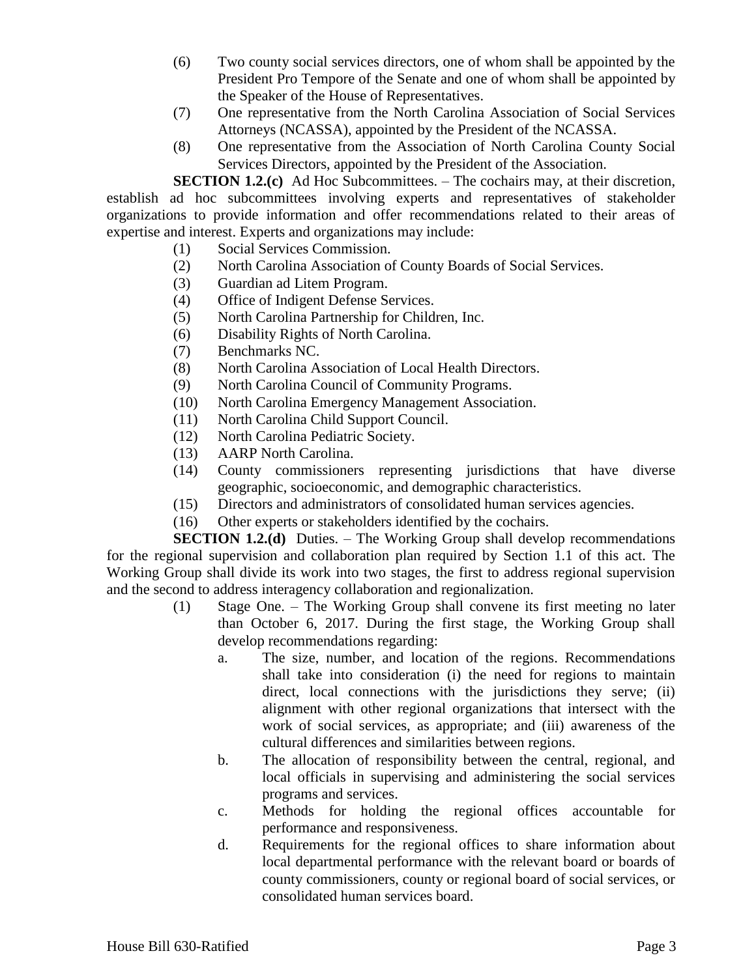- (6) Two county social services directors, one of whom shall be appointed by the President Pro Tempore of the Senate and one of whom shall be appointed by the Speaker of the House of Representatives.
- (7) One representative from the North Carolina Association of Social Services Attorneys (NCASSA), appointed by the President of the NCASSA.
- (8) One representative from the Association of North Carolina County Social Services Directors, appointed by the President of the Association.

**SECTION 1.2.(c)** Ad Hoc Subcommittees. – The cochairs may, at their discretion, establish ad hoc subcommittees involving experts and representatives of stakeholder organizations to provide information and offer recommendations related to their areas of expertise and interest. Experts and organizations may include:

- (1) Social Services Commission.
- (2) North Carolina Association of County Boards of Social Services.
- (3) Guardian ad Litem Program.
- (4) Office of Indigent Defense Services.
- (5) North Carolina Partnership for Children, Inc.
- (6) Disability Rights of North Carolina.
- (7) Benchmarks NC.
- (8) North Carolina Association of Local Health Directors.
- (9) North Carolina Council of Community Programs.
- (10) North Carolina Emergency Management Association.
- (11) North Carolina Child Support Council.
- (12) North Carolina Pediatric Society.
- (13) AARP North Carolina.
- (14) County commissioners representing jurisdictions that have diverse geographic, socioeconomic, and demographic characteristics.
- (15) Directors and administrators of consolidated human services agencies.
- (16) Other experts or stakeholders identified by the cochairs.

**SECTION 1.2.(d)** Duties. – The Working Group shall develop recommendations for the regional supervision and collaboration plan required by Section 1.1 of this act. The Working Group shall divide its work into two stages, the first to address regional supervision and the second to address interagency collaboration and regionalization.

- (1) Stage One. The Working Group shall convene its first meeting no later than October 6, 2017. During the first stage, the Working Group shall develop recommendations regarding:
	- a. The size, number, and location of the regions. Recommendations shall take into consideration (i) the need for regions to maintain direct, local connections with the jurisdictions they serve; (ii) alignment with other regional organizations that intersect with the work of social services, as appropriate; and (iii) awareness of the cultural differences and similarities between regions.
	- b. The allocation of responsibility between the central, regional, and local officials in supervising and administering the social services programs and services.
	- c. Methods for holding the regional offices accountable for performance and responsiveness.
	- d. Requirements for the regional offices to share information about local departmental performance with the relevant board or boards of county commissioners, county or regional board of social services, or consolidated human services board.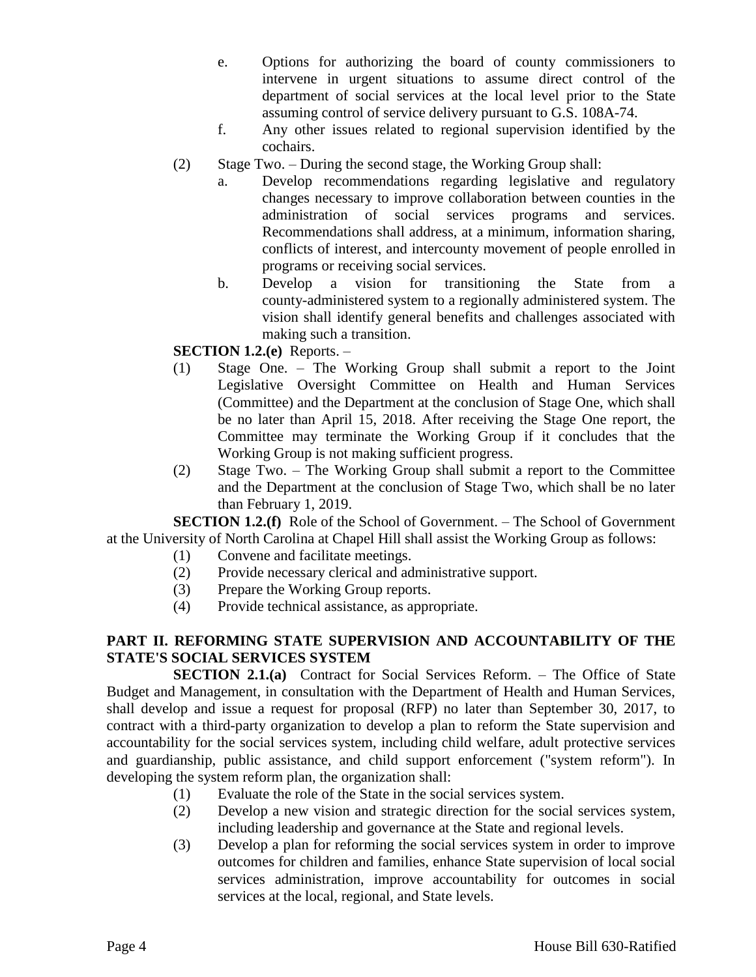- e. Options for authorizing the board of county commissioners to intervene in urgent situations to assume direct control of the department of social services at the local level prior to the State assuming control of service delivery pursuant to G.S. 108A-74.
- f. Any other issues related to regional supervision identified by the cochairs.
- (2) Stage Two. During the second stage, the Working Group shall:
	- a. Develop recommendations regarding legislative and regulatory changes necessary to improve collaboration between counties in the administration of social services programs and services. Recommendations shall address, at a minimum, information sharing, conflicts of interest, and intercounty movement of people enrolled in programs or receiving social services.
	- b. Develop a vision for transitioning the State from a county-administered system to a regionally administered system. The vision shall identify general benefits and challenges associated with making such a transition.

## **SECTION 1.2.(e)** Reports. –

- (1) Stage One. The Working Group shall submit a report to the Joint Legislative Oversight Committee on Health and Human Services (Committee) and the Department at the conclusion of Stage One, which shall be no later than April 15, 2018. After receiving the Stage One report, the Committee may terminate the Working Group if it concludes that the Working Group is not making sufficient progress.
- (2) Stage Two. The Working Group shall submit a report to the Committee and the Department at the conclusion of Stage Two, which shall be no later than February 1, 2019.

**SECTION 1.2.(f)** Role of the School of Government. – The School of Government at the University of North Carolina at Chapel Hill shall assist the Working Group as follows:

- (1) Convene and facilitate meetings.
- (2) Provide necessary clerical and administrative support.
- (3) Prepare the Working Group reports.
- (4) Provide technical assistance, as appropriate.

## **PART II. REFORMING STATE SUPERVISION AND ACCOUNTABILITY OF THE STATE'S SOCIAL SERVICES SYSTEM**

**SECTION 2.1.(a)** Contract for Social Services Reform. – The Office of State Budget and Management, in consultation with the Department of Health and Human Services, shall develop and issue a request for proposal (RFP) no later than September 30, 2017, to contract with a third-party organization to develop a plan to reform the State supervision and accountability for the social services system, including child welfare, adult protective services and guardianship, public assistance, and child support enforcement ("system reform"). In developing the system reform plan, the organization shall:

- (1) Evaluate the role of the State in the social services system.
- (2) Develop a new vision and strategic direction for the social services system, including leadership and governance at the State and regional levels.
- (3) Develop a plan for reforming the social services system in order to improve outcomes for children and families, enhance State supervision of local social services administration, improve accountability for outcomes in social services at the local, regional, and State levels.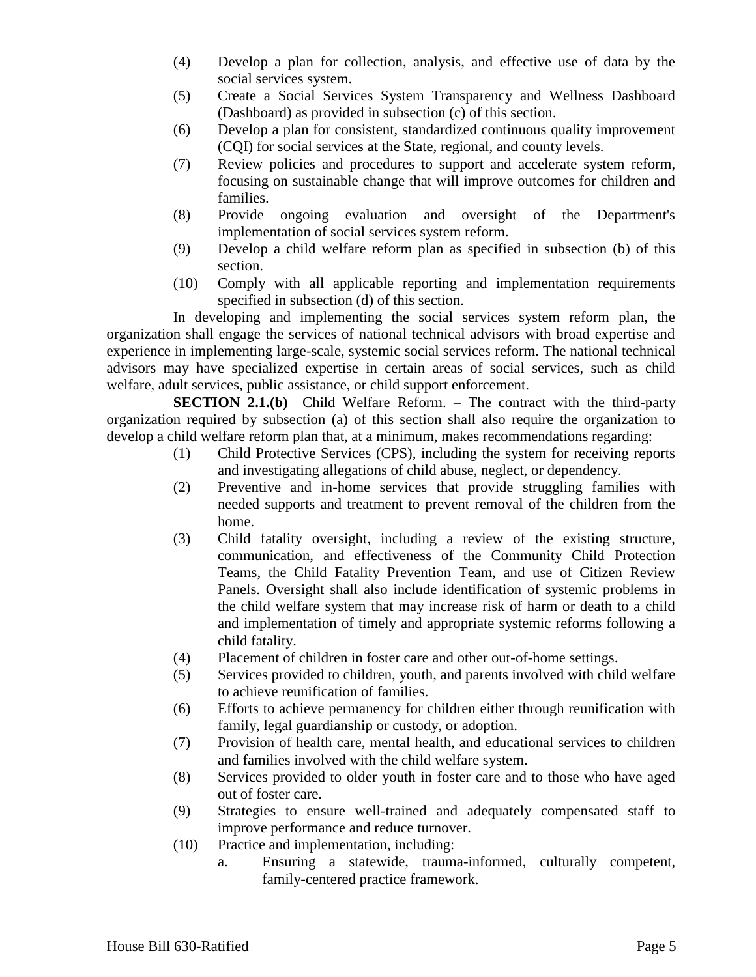- (4) Develop a plan for collection, analysis, and effective use of data by the social services system.
- (5) Create a Social Services System Transparency and Wellness Dashboard (Dashboard) as provided in subsection (c) of this section.
- (6) Develop a plan for consistent, standardized continuous quality improvement (CQI) for social services at the State, regional, and county levels.
- (7) Review policies and procedures to support and accelerate system reform, focusing on sustainable change that will improve outcomes for children and families.
- (8) Provide ongoing evaluation and oversight of the Department's implementation of social services system reform.
- (9) Develop a child welfare reform plan as specified in subsection (b) of this section.
- (10) Comply with all applicable reporting and implementation requirements specified in subsection (d) of this section.

In developing and implementing the social services system reform plan, the organization shall engage the services of national technical advisors with broad expertise and experience in implementing large-scale, systemic social services reform. The national technical advisors may have specialized expertise in certain areas of social services, such as child welfare, adult services, public assistance, or child support enforcement.

**SECTION 2.1.(b)** Child Welfare Reform. – The contract with the third-party organization required by subsection (a) of this section shall also require the organization to develop a child welfare reform plan that, at a minimum, makes recommendations regarding:

- (1) Child Protective Services (CPS), including the system for receiving reports and investigating allegations of child abuse, neglect, or dependency.
- (2) Preventive and in-home services that provide struggling families with needed supports and treatment to prevent removal of the children from the home.
- (3) Child fatality oversight, including a review of the existing structure, communication, and effectiveness of the Community Child Protection Teams, the Child Fatality Prevention Team, and use of Citizen Review Panels. Oversight shall also include identification of systemic problems in the child welfare system that may increase risk of harm or death to a child and implementation of timely and appropriate systemic reforms following a child fatality.
- (4) Placement of children in foster care and other out-of-home settings.
- (5) Services provided to children, youth, and parents involved with child welfare to achieve reunification of families.
- (6) Efforts to achieve permanency for children either through reunification with family, legal guardianship or custody, or adoption.
- (7) Provision of health care, mental health, and educational services to children and families involved with the child welfare system.
- (8) Services provided to older youth in foster care and to those who have aged out of foster care.
- (9) Strategies to ensure well-trained and adequately compensated staff to improve performance and reduce turnover.
- (10) Practice and implementation, including:
	- a. Ensuring a statewide, trauma-informed, culturally competent, family-centered practice framework.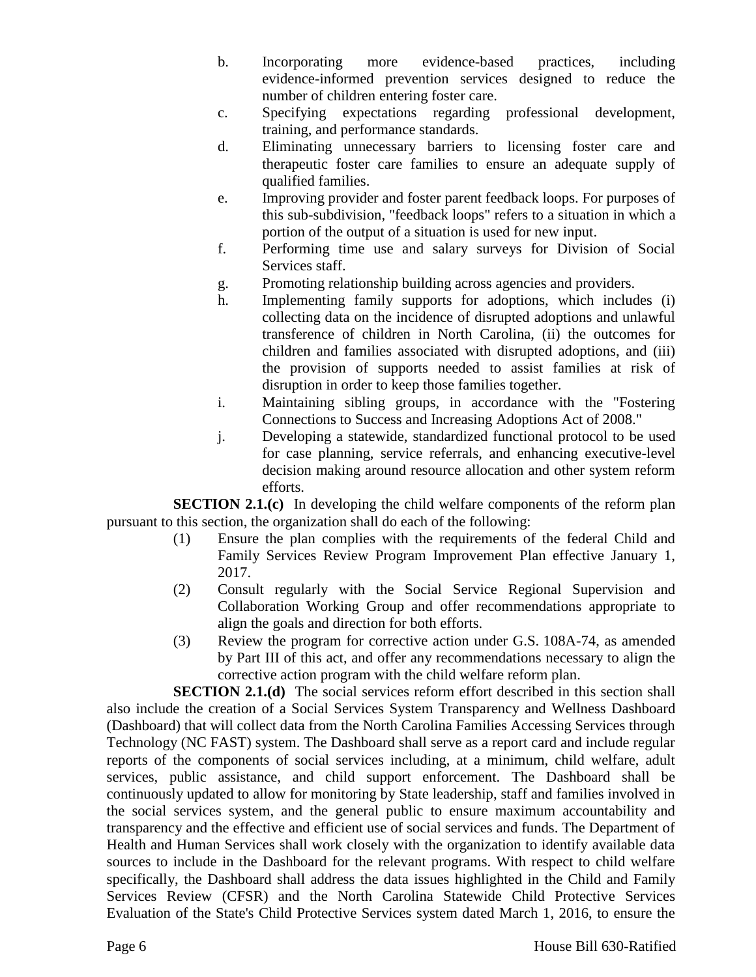- b. Incorporating more evidence-based practices, including evidence-informed prevention services designed to reduce the number of children entering foster care.
- c. Specifying expectations regarding professional development, training, and performance standards.
- d. Eliminating unnecessary barriers to licensing foster care and therapeutic foster care families to ensure an adequate supply of qualified families.
- e. Improving provider and foster parent feedback loops. For purposes of this sub-subdivision, "feedback loops" refers to a situation in which a portion of the output of a situation is used for new input.
- f. Performing time use and salary surveys for Division of Social Services staff.
- g. Promoting relationship building across agencies and providers.
- h. Implementing family supports for adoptions, which includes (i) collecting data on the incidence of disrupted adoptions and unlawful transference of children in North Carolina, (ii) the outcomes for children and families associated with disrupted adoptions, and (iii) the provision of supports needed to assist families at risk of disruption in order to keep those families together.
- i. Maintaining sibling groups, in accordance with the "Fostering Connections to Success and Increasing Adoptions Act of 2008."
- j. Developing a statewide, standardized functional protocol to be used for case planning, service referrals, and enhancing executive-level decision making around resource allocation and other system reform efforts.

**SECTION 2.1.(c)** In developing the child welfare components of the reform plan pursuant to this section, the organization shall do each of the following:

- (1) Ensure the plan complies with the requirements of the federal Child and Family Services Review Program Improvement Plan effective January 1, 2017.
- (2) Consult regularly with the Social Service Regional Supervision and Collaboration Working Group and offer recommendations appropriate to align the goals and direction for both efforts.
- (3) Review the program for corrective action under G.S. 108A-74, as amended by Part III of this act, and offer any recommendations necessary to align the corrective action program with the child welfare reform plan.

**SECTION 2.1.(d)** The social services reform effort described in this section shall also include the creation of a Social Services System Transparency and Wellness Dashboard (Dashboard) that will collect data from the North Carolina Families Accessing Services through Technology (NC FAST) system. The Dashboard shall serve as a report card and include regular reports of the components of social services including, at a minimum, child welfare, adult services, public assistance, and child support enforcement. The Dashboard shall be continuously updated to allow for monitoring by State leadership, staff and families involved in the social services system, and the general public to ensure maximum accountability and transparency and the effective and efficient use of social services and funds. The Department of Health and Human Services shall work closely with the organization to identify available data sources to include in the Dashboard for the relevant programs. With respect to child welfare specifically, the Dashboard shall address the data issues highlighted in the Child and Family Services Review (CFSR) and the North Carolina Statewide Child Protective Services Evaluation of the State's Child Protective Services system dated March 1, 2016, to ensure the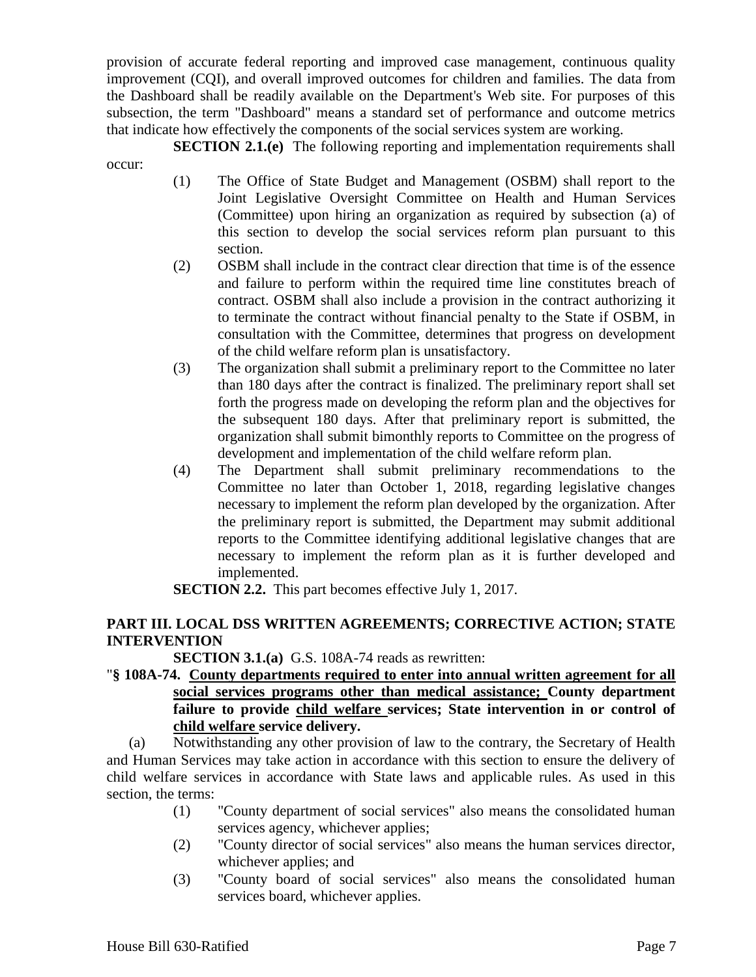provision of accurate federal reporting and improved case management, continuous quality improvement (CQI), and overall improved outcomes for children and families. The data from the Dashboard shall be readily available on the Department's Web site. For purposes of this subsection, the term "Dashboard" means a standard set of performance and outcome metrics that indicate how effectively the components of the social services system are working.

**SECTION 2.1.(e)** The following reporting and implementation requirements shall occur:

- (1) The Office of State Budget and Management (OSBM) shall report to the Joint Legislative Oversight Committee on Health and Human Services (Committee) upon hiring an organization as required by subsection (a) of this section to develop the social services reform plan pursuant to this section.
- (2) OSBM shall include in the contract clear direction that time is of the essence and failure to perform within the required time line constitutes breach of contract. OSBM shall also include a provision in the contract authorizing it to terminate the contract without financial penalty to the State if OSBM, in consultation with the Committee, determines that progress on development of the child welfare reform plan is unsatisfactory.
- (3) The organization shall submit a preliminary report to the Committee no later than 180 days after the contract is finalized. The preliminary report shall set forth the progress made on developing the reform plan and the objectives for the subsequent 180 days. After that preliminary report is submitted, the organization shall submit bimonthly reports to Committee on the progress of development and implementation of the child welfare reform plan.
- (4) The Department shall submit preliminary recommendations to the Committee no later than October 1, 2018, regarding legislative changes necessary to implement the reform plan developed by the organization. After the preliminary report is submitted, the Department may submit additional reports to the Committee identifying additional legislative changes that are necessary to implement the reform plan as it is further developed and implemented.

**SECTION 2.2.** This part becomes effective July 1, 2017.

## **PART III. LOCAL DSS WRITTEN AGREEMENTS; CORRECTIVE ACTION; STATE INTERVENTION**

**SECTION 3.1.(a)** G.S. 108A-74 reads as rewritten:

"**§ 108A-74. County departments required to enter into annual written agreement for all social services programs other than medical assistance; County department failure to provide child welfare services; State intervention in or control of child welfare service delivery.**

(a) Notwithstanding any other provision of law to the contrary, the Secretary of Health and Human Services may take action in accordance with this section to ensure the delivery of child welfare services in accordance with State laws and applicable rules. As used in this section, the terms:

- (1) "County department of social services" also means the consolidated human services agency, whichever applies;
- (2) "County director of social services" also means the human services director, whichever applies; and
- (3) "County board of social services" also means the consolidated human services board, whichever applies.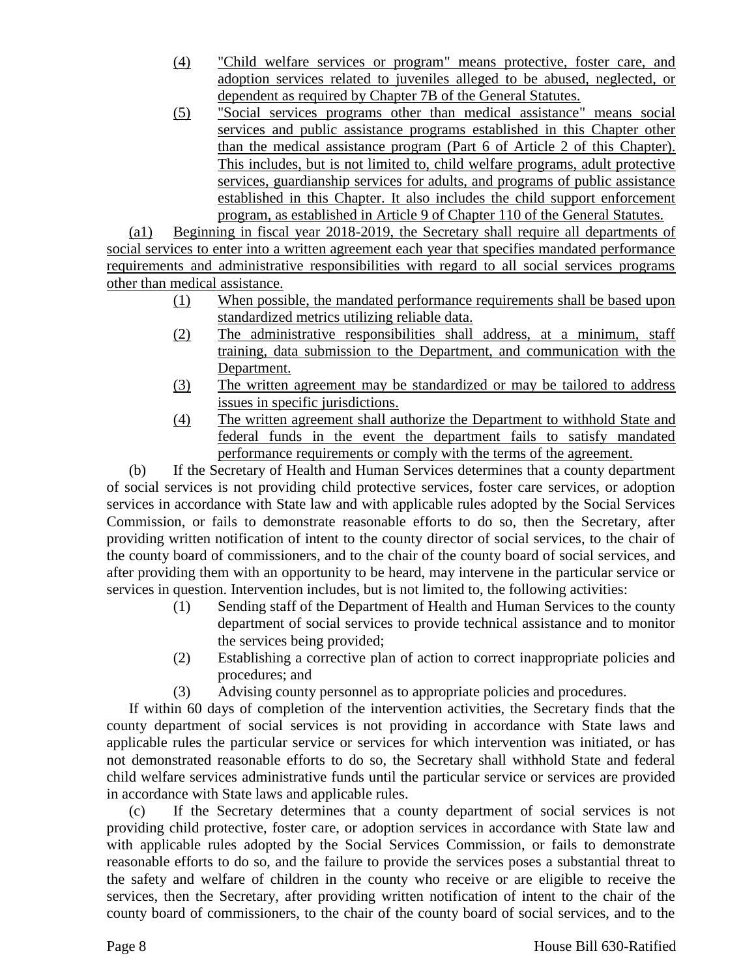- (4) "Child welfare services or program" means protective, foster care, and adoption services related to juveniles alleged to be abused, neglected, or dependent as required by Chapter 7B of the General Statutes.
- (5) "Social services programs other than medical assistance" means social services and public assistance programs established in this Chapter other than the medical assistance program (Part 6 of Article 2 of this Chapter). This includes, but is not limited to, child welfare programs, adult protective services, guardianship services for adults, and programs of public assistance established in this Chapter. It also includes the child support enforcement program, as established in Article 9 of Chapter 110 of the General Statutes.

(a1) Beginning in fiscal year 2018-2019, the Secretary shall require all departments of social services to enter into a written agreement each year that specifies mandated performance requirements and administrative responsibilities with regard to all social services programs other than medical assistance.

- (1) When possible, the mandated performance requirements shall be based upon standardized metrics utilizing reliable data.
- (2) The administrative responsibilities shall address, at a minimum, staff training, data submission to the Department, and communication with the Department.
- (3) The written agreement may be standardized or may be tailored to address issues in specific jurisdictions.
- (4) The written agreement shall authorize the Department to withhold State and federal funds in the event the department fails to satisfy mandated performance requirements or comply with the terms of the agreement.

(b) If the Secretary of Health and Human Services determines that a county department of social services is not providing child protective services, foster care services, or adoption services in accordance with State law and with applicable rules adopted by the Social Services Commission, or fails to demonstrate reasonable efforts to do so, then the Secretary, after providing written notification of intent to the county director of social services, to the chair of the county board of commissioners, and to the chair of the county board of social services, and after providing them with an opportunity to be heard, may intervene in the particular service or services in question. Intervention includes, but is not limited to, the following activities:

- (1) Sending staff of the Department of Health and Human Services to the county department of social services to provide technical assistance and to monitor the services being provided;
- (2) Establishing a corrective plan of action to correct inappropriate policies and procedures; and
- (3) Advising county personnel as to appropriate policies and procedures.

If within 60 days of completion of the intervention activities, the Secretary finds that the county department of social services is not providing in accordance with State laws and applicable rules the particular service or services for which intervention was initiated, or has not demonstrated reasonable efforts to do so, the Secretary shall withhold State and federal child welfare services administrative funds until the particular service or services are provided in accordance with State laws and applicable rules.

(c) If the Secretary determines that a county department of social services is not providing child protective, foster care, or adoption services in accordance with State law and with applicable rules adopted by the Social Services Commission, or fails to demonstrate reasonable efforts to do so, and the failure to provide the services poses a substantial threat to the safety and welfare of children in the county who receive or are eligible to receive the services, then the Secretary, after providing written notification of intent to the chair of the county board of commissioners, to the chair of the county board of social services, and to the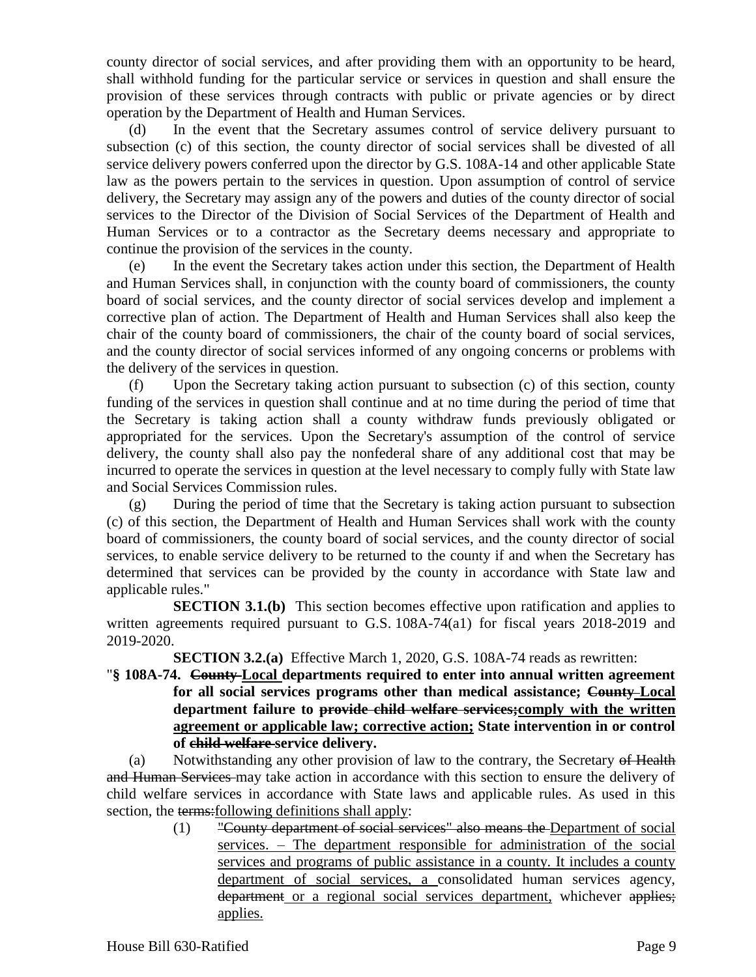county director of social services, and after providing them with an opportunity to be heard, shall withhold funding for the particular service or services in question and shall ensure the provision of these services through contracts with public or private agencies or by direct operation by the Department of Health and Human Services.

(d) In the event that the Secretary assumes control of service delivery pursuant to subsection (c) of this section, the county director of social services shall be divested of all service delivery powers conferred upon the director by G.S. 108A-14 and other applicable State law as the powers pertain to the services in question. Upon assumption of control of service delivery, the Secretary may assign any of the powers and duties of the county director of social services to the Director of the Division of Social Services of the Department of Health and Human Services or to a contractor as the Secretary deems necessary and appropriate to continue the provision of the services in the county.

(e) In the event the Secretary takes action under this section, the Department of Health and Human Services shall, in conjunction with the county board of commissioners, the county board of social services, and the county director of social services develop and implement a corrective plan of action. The Department of Health and Human Services shall also keep the chair of the county board of commissioners, the chair of the county board of social services, and the county director of social services informed of any ongoing concerns or problems with the delivery of the services in question.

(f) Upon the Secretary taking action pursuant to subsection (c) of this section, county funding of the services in question shall continue and at no time during the period of time that the Secretary is taking action shall a county withdraw funds previously obligated or appropriated for the services. Upon the Secretary's assumption of the control of service delivery, the county shall also pay the nonfederal share of any additional cost that may be incurred to operate the services in question at the level necessary to comply fully with State law and Social Services Commission rules.

(g) During the period of time that the Secretary is taking action pursuant to subsection (c) of this section, the Department of Health and Human Services shall work with the county board of commissioners, the county board of social services, and the county director of social services, to enable service delivery to be returned to the county if and when the Secretary has determined that services can be provided by the county in accordance with State law and applicable rules."

**SECTION 3.1.(b)** This section becomes effective upon ratification and applies to written agreements required pursuant to G.S. 108A-74(a1) for fiscal years 2018-2019 and 2019-2020.

**SECTION 3.2.(a)** Effective March 1, 2020, G.S. 108A-74 reads as rewritten:

"**§ 108A-74. County Local departments required to enter into annual written agreement for all social services programs other than medical assistance; County Local department failure to provide child welfare services;comply with the written agreement or applicable law; corrective action; State intervention in or control of child welfare service delivery.**

(a) Notwithstanding any other provision of law to the contrary, the Secretary of Health and Human Services may take action in accordance with this section to ensure the delivery of child welfare services in accordance with State laws and applicable rules. As used in this section, the terms: following definitions shall apply:

(1) "County department of social services" also means the Department of social services. – The department responsible for administration of the social services and programs of public assistance in a county. It includes a county department of social services, a consolidated human services agency, department or a regional social services department, whichever applies; applies.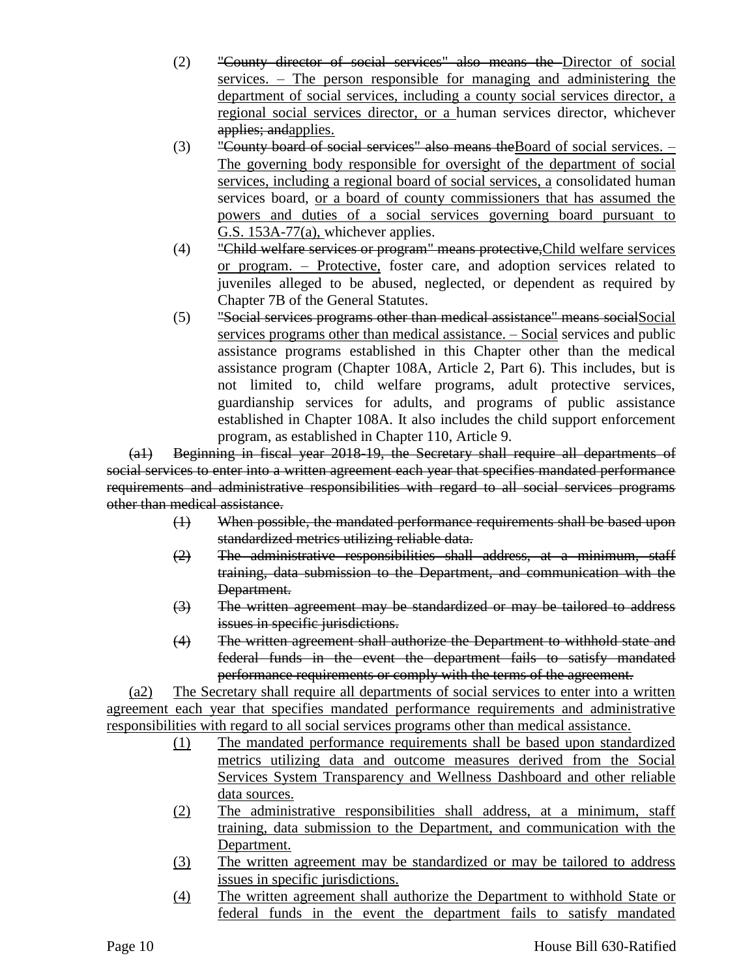- (2) "County director of social services" also means the Director of social services. – The person responsible for managing and administering the department of social services, including a county social services director, a regional social services director, or a human services director, whichever applies; andapplies.
- (3) "County board of social services" also means the Board of social services.  $-$ The governing body responsible for oversight of the department of social services, including a regional board of social services, a consolidated human services board, or a board of county commissioners that has assumed the powers and duties of a social services governing board pursuant to G.S. 153A-77(a), whichever applies.
- (4) "Child welfare services or program" means protective,Child welfare services or program. – Protective, foster care, and adoption services related to juveniles alleged to be abused, neglected, or dependent as required by Chapter 7B of the General Statutes.
- (5) "Social services programs other than medical assistance" means socialSocial services programs other than medical assistance. – Social services and public assistance programs established in this Chapter other than the medical assistance program (Chapter 108A, Article 2, Part 6). This includes, but is not limited to, child welfare programs, adult protective services, guardianship services for adults, and programs of public assistance established in Chapter 108A. It also includes the child support enforcement program, as established in Chapter 110, Article 9.

(a1) Beginning in fiscal year 2018-19, the Secretary shall require all departments of social services to enter into a written agreement each year that specifies mandated performance requirements and administrative responsibilities with regard to all social services programs other than medical assistance.

- (1) When possible, the mandated performance requirements shall be based upon standardized metrics utilizing reliable data.
- (2) The administrative responsibilities shall address, at a minimum, staff training, data submission to the Department, and communication with the Department.
- (3) The written agreement may be standardized or may be tailored to address issues in specific jurisdictions.
- (4) The written agreement shall authorize the Department to withhold state and federal funds in the event the department fails to satisfy mandated performance requirements or comply with the terms of the agreement.

(a2) The Secretary shall require all departments of social services to enter into a written agreement each year that specifies mandated performance requirements and administrative responsibilities with regard to all social services programs other than medical assistance.

- (1) The mandated performance requirements shall be based upon standardized metrics utilizing data and outcome measures derived from the Social Services System Transparency and Wellness Dashboard and other reliable data sources.
- (2) The administrative responsibilities shall address, at a minimum, staff training, data submission to the Department, and communication with the Department.
- (3) The written agreement may be standardized or may be tailored to address issues in specific jurisdictions.
- (4) The written agreement shall authorize the Department to withhold State or federal funds in the event the department fails to satisfy mandated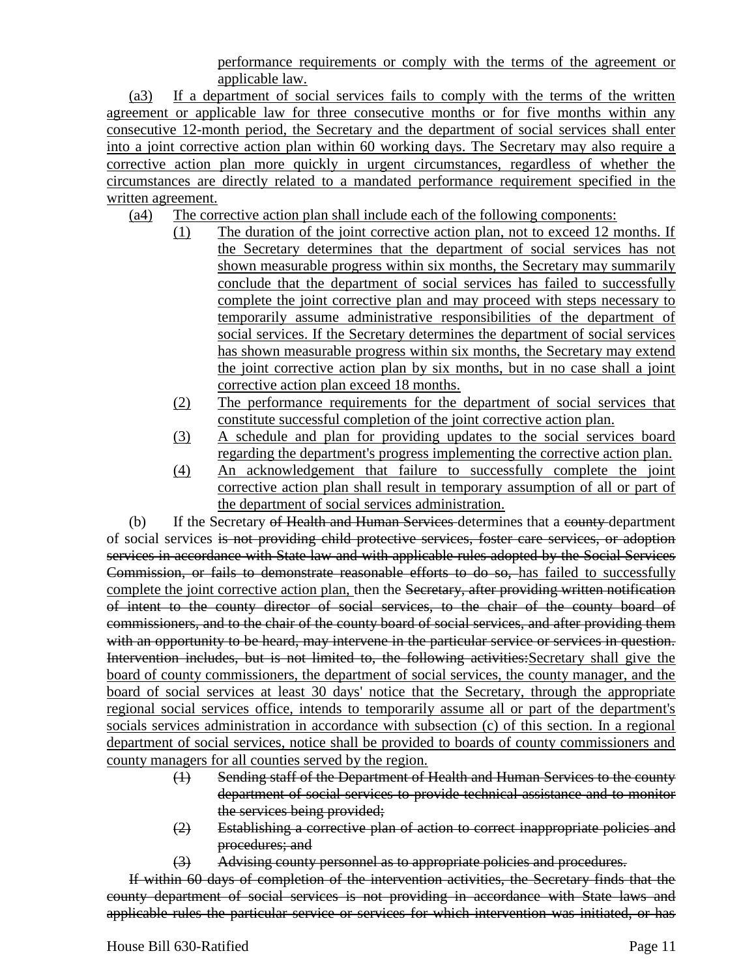performance requirements or comply with the terms of the agreement or applicable law.

(a3) If a department of social services fails to comply with the terms of the written agreement or applicable law for three consecutive months or for five months within any consecutive 12-month period, the Secretary and the department of social services shall enter into a joint corrective action plan within 60 working days. The Secretary may also require a corrective action plan more quickly in urgent circumstances, regardless of whether the circumstances are directly related to a mandated performance requirement specified in the written agreement.

- (a4) The corrective action plan shall include each of the following components:
	- (1) The duration of the joint corrective action plan, not to exceed 12 months. If the Secretary determines that the department of social services has not shown measurable progress within six months, the Secretary may summarily conclude that the department of social services has failed to successfully complete the joint corrective plan and may proceed with steps necessary to temporarily assume administrative responsibilities of the department of social services. If the Secretary determines the department of social services has shown measurable progress within six months, the Secretary may extend the joint corrective action plan by six months, but in no case shall a joint corrective action plan exceed 18 months.
	- (2) The performance requirements for the department of social services that constitute successful completion of the joint corrective action plan.
	- (3) A schedule and plan for providing updates to the social services board regarding the department's progress implementing the corrective action plan.
	- (4) An acknowledgement that failure to successfully complete the joint corrective action plan shall result in temporary assumption of all or part of the department of social services administration.

(b) If the Secretary of Health and Human Services determines that a county department of social services is not providing child protective services, foster care services, or adoption services in accordance with State law and with applicable rules adopted by the Social Services Commission, or fails to demonstrate reasonable efforts to do so, has failed to successfully complete the joint corrective action plan, then the Secretary, after providing written notification of intent to the county director of social services, to the chair of the county board of commissioners, and to the chair of the county board of social services, and after providing them with an opportunity to be heard, may intervene in the particular service or services in question. Intervention includes, but is not limited to, the following activities:Secretary shall give the board of county commissioners, the department of social services, the county manager, and the board of social services at least 30 days' notice that the Secretary, through the appropriate regional social services office, intends to temporarily assume all or part of the department's socials services administration in accordance with subsection (c) of this section. In a regional department of social services, notice shall be provided to boards of county commissioners and county managers for all counties served by the region.

- (1) Sending staff of the Department of Health and Human Services to the county department of social services to provide technical assistance and to monitor the services being provided;
- (2) Establishing a corrective plan of action to correct inappropriate policies and procedures; and
- (3) Advising county personnel as to appropriate policies and procedures.

If within 60 days of completion of the intervention activities, the Secretary finds that the county department of social services is not providing in accordance with State laws and applicable rules the particular service or services for which intervention was initiated, or has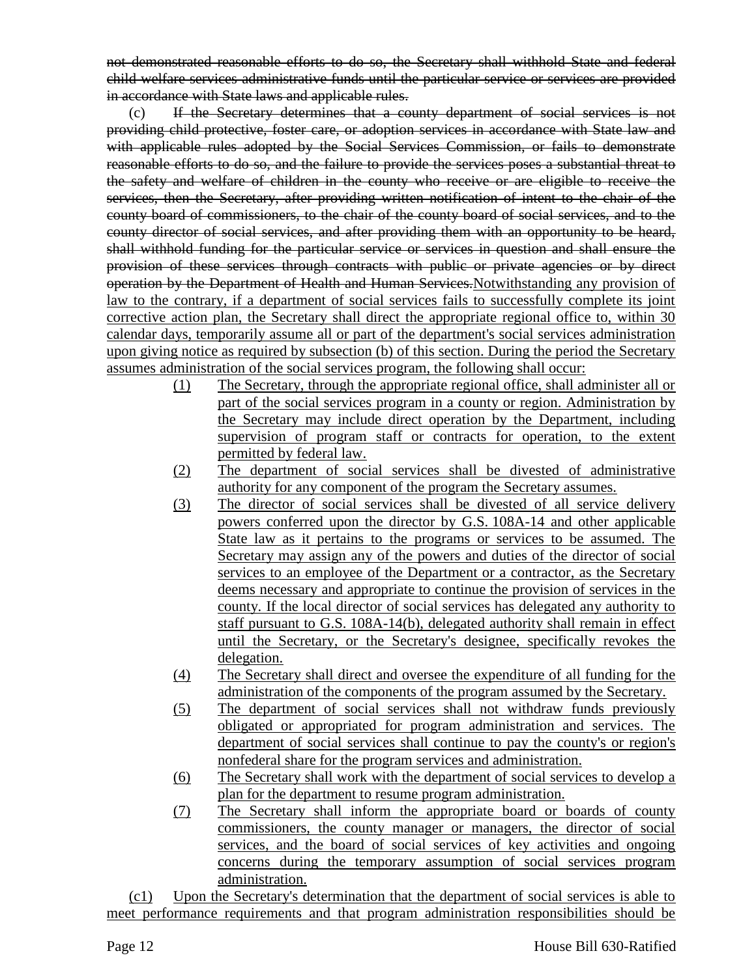not demonstrated reasonable efforts to do so, the Secretary shall withhold State and federal child welfare services administrative funds until the particular service or services are provided in accordance with State laws and applicable rules.

(c) If the Secretary determines that a county department of social services is not providing child protective, foster care, or adoption services in accordance with State law and with applicable rules adopted by the Social Services Commission, or fails to demonstrate reasonable efforts to do so, and the failure to provide the services poses a substantial threat to the safety and welfare of children in the county who receive or are eligible to receive the services, then the Secretary, after providing written notification of intent to the chair of the county board of commissioners, to the chair of the county board of social services, and to the county director of social services, and after providing them with an opportunity to be heard, shall withhold funding for the particular service or services in question and shall ensure the provision of these services through contracts with public or private agencies or by direct operation by the Department of Health and Human Services.Notwithstanding any provision of law to the contrary, if a department of social services fails to successfully complete its joint corrective action plan, the Secretary shall direct the appropriate regional office to, within 30 calendar days, temporarily assume all or part of the department's social services administration upon giving notice as required by subsection (b) of this section. During the period the Secretary assumes administration of the social services program, the following shall occur:

- (1) The Secretary, through the appropriate regional office, shall administer all or part of the social services program in a county or region. Administration by the Secretary may include direct operation by the Department, including supervision of program staff or contracts for operation, to the extent permitted by federal law.
- (2) The department of social services shall be divested of administrative authority for any component of the program the Secretary assumes.
- (3) The director of social services shall be divested of all service delivery powers conferred upon the director by G.S. 108A-14 and other applicable State law as it pertains to the programs or services to be assumed. The Secretary may assign any of the powers and duties of the director of social services to an employee of the Department or a contractor, as the Secretary deems necessary and appropriate to continue the provision of services in the county. If the local director of social services has delegated any authority to staff pursuant to G.S. 108A-14(b), delegated authority shall remain in effect until the Secretary, or the Secretary's designee, specifically revokes the delegation.
- (4) The Secretary shall direct and oversee the expenditure of all funding for the administration of the components of the program assumed by the Secretary.
- (5) The department of social services shall not withdraw funds previously obligated or appropriated for program administration and services. The department of social services shall continue to pay the county's or region's nonfederal share for the program services and administration.
- (6) The Secretary shall work with the department of social services to develop a plan for the department to resume program administration.
- (7) The Secretary shall inform the appropriate board or boards of county commissioners, the county manager or managers, the director of social services, and the board of social services of key activities and ongoing concerns during the temporary assumption of social services program administration.

(c1) Upon the Secretary's determination that the department of social services is able to meet performance requirements and that program administration responsibilities should be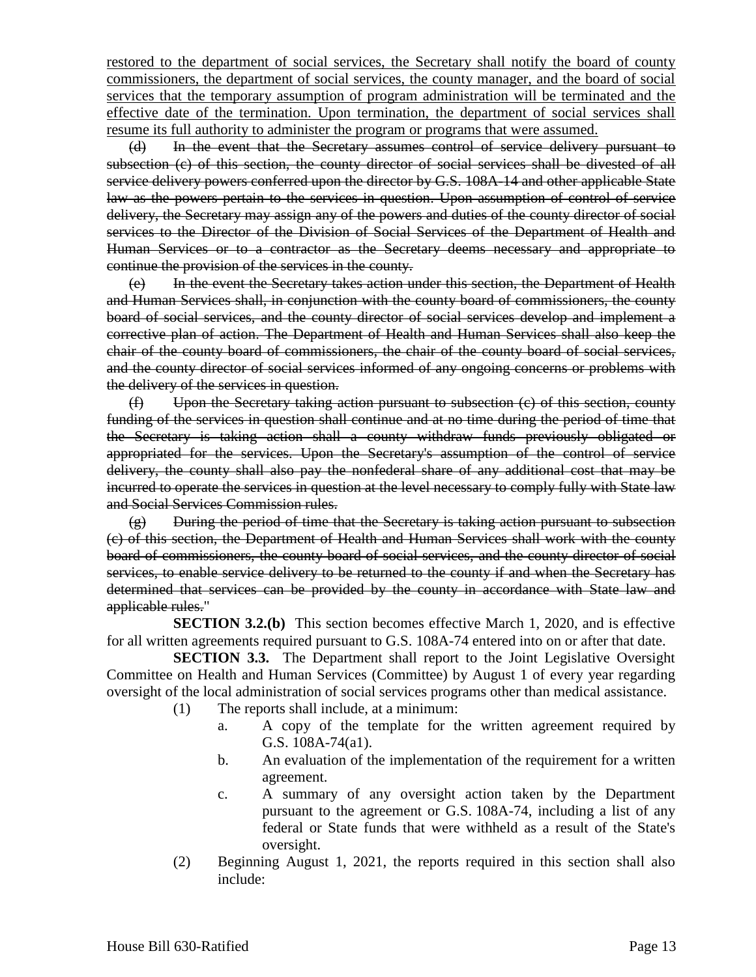restored to the department of social services, the Secretary shall notify the board of county commissioners, the department of social services, the county manager, and the board of social services that the temporary assumption of program administration will be terminated and the effective date of the termination. Upon termination, the department of social services shall resume its full authority to administer the program or programs that were assumed.

(d) In the event that the Secretary assumes control of service delivery pursuant to subsection (c) of this section, the county director of social services shall be divested of all service delivery powers conferred upon the director by G.S. 108A-14 and other applicable State law as the powers pertain to the services in question. Upon assumption of control of service delivery, the Secretary may assign any of the powers and duties of the county director of social services to the Director of the Division of Social Services of the Department of Health and Human Services or to a contractor as the Secretary deems necessary and appropriate to continue the provision of the services in the county.

(e) In the event the Secretary takes action under this section, the Department of Health and Human Services shall, in conjunction with the county board of commissioners, the county board of social services, and the county director of social services develop and implement a corrective plan of action. The Department of Health and Human Services shall also keep the chair of the county board of commissioners, the chair of the county board of social services, and the county director of social services informed of any ongoing concerns or problems with the delivery of the services in question.

(f) Upon the Secretary taking action pursuant to subsection (c) of this section, county funding of the services in question shall continue and at no time during the period of time that the Secretary is taking action shall a county withdraw funds previously obligated or appropriated for the services. Upon the Secretary's assumption of the control of service delivery, the county shall also pay the nonfederal share of any additional cost that may be incurred to operate the services in question at the level necessary to comply fully with State law and Social Services Commission rules.

 $(g)$  During the period of time that the Secretary is taking action pursuant to subsection (c) of this section, the Department of Health and Human Services shall work with the county board of commissioners, the county board of social services, and the county director of social services, to enable service delivery to be returned to the county if and when the Secretary has determined that services can be provided by the county in accordance with State law and applicable rules."

**SECTION 3.2.(b)** This section becomes effective March 1, 2020, and is effective for all written agreements required pursuant to G.S. 108A-74 entered into on or after that date.

**SECTION 3.3.** The Department shall report to the Joint Legislative Oversight Committee on Health and Human Services (Committee) by August 1 of every year regarding oversight of the local administration of social services programs other than medical assistance.

- (1) The reports shall include, at a minimum:
	- a. A copy of the template for the written agreement required by G.S. 108A-74(a1).
	- b. An evaluation of the implementation of the requirement for a written agreement.
	- c. A summary of any oversight action taken by the Department pursuant to the agreement or G.S. 108A-74, including a list of any federal or State funds that were withheld as a result of the State's oversight.
- (2) Beginning August 1, 2021, the reports required in this section shall also include: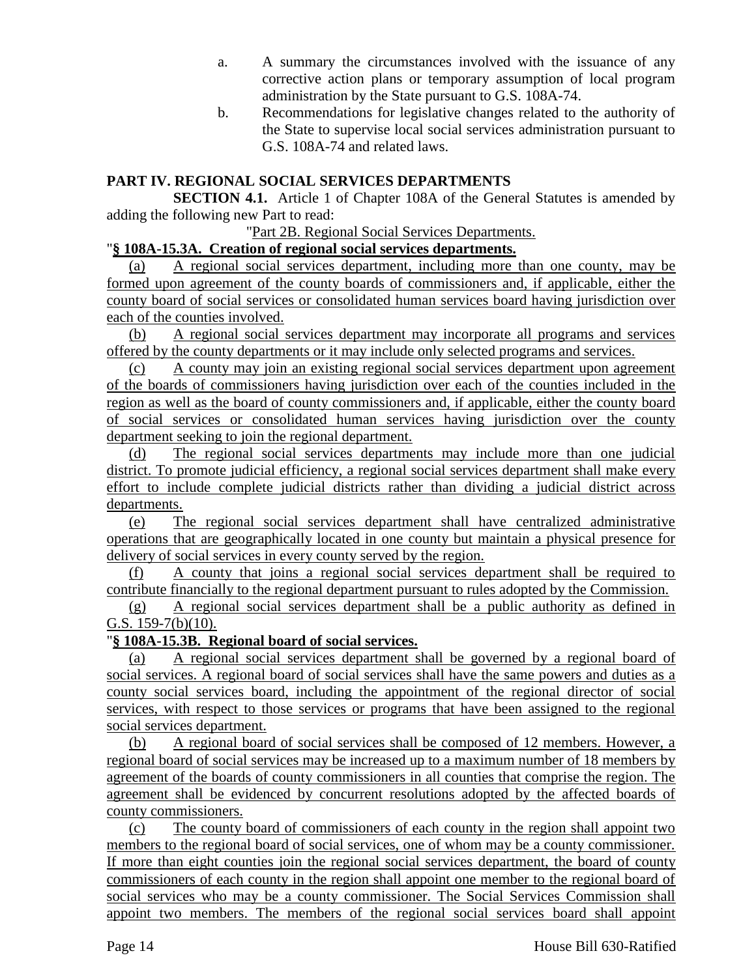- a. A summary the circumstances involved with the issuance of any corrective action plans or temporary assumption of local program administration by the State pursuant to G.S. 108A-74.
- b. Recommendations for legislative changes related to the authority of the State to supervise local social services administration pursuant to G.S. 108A-74 and related laws.

## **PART IV. REGIONAL SOCIAL SERVICES DEPARTMENTS**

**SECTION 4.1.** Article 1 of Chapter 108A of the General Statutes is amended by adding the following new Part to read:

"Part 2B. Regional Social Services Departments.

#### "**§ 108A-15.3A. Creation of regional social services departments.**

(a) A regional social services department, including more than one county, may be formed upon agreement of the county boards of commissioners and, if applicable, either the county board of social services or consolidated human services board having jurisdiction over each of the counties involved.

(b) A regional social services department may incorporate all programs and services offered by the county departments or it may include only selected programs and services.

(c) A county may join an existing regional social services department upon agreement of the boards of commissioners having jurisdiction over each of the counties included in the region as well as the board of county commissioners and, if applicable, either the county board of social services or consolidated human services having jurisdiction over the county department seeking to join the regional department.

(d) The regional social services departments may include more than one judicial district. To promote judicial efficiency, a regional social services department shall make every effort to include complete judicial districts rather than dividing a judicial district across departments.

(e) The regional social services department shall have centralized administrative operations that are geographically located in one county but maintain a physical presence for delivery of social services in every county served by the region.

(f) A county that joins a regional social services department shall be required to contribute financially to the regional department pursuant to rules adopted by the Commission.

(g) A regional social services department shall be a public authority as defined in G.S. 159-7(b)(10).

## "**§ 108A-15.3B. Regional board of social services.**

(a) A regional social services department shall be governed by a regional board of social services. A regional board of social services shall have the same powers and duties as a county social services board, including the appointment of the regional director of social services, with respect to those services or programs that have been assigned to the regional social services department.

(b) A regional board of social services shall be composed of 12 members. However, a regional board of social services may be increased up to a maximum number of 18 members by agreement of the boards of county commissioners in all counties that comprise the region. The agreement shall be evidenced by concurrent resolutions adopted by the affected boards of county commissioners.

(c) The county board of commissioners of each county in the region shall appoint two members to the regional board of social services, one of whom may be a county commissioner. If more than eight counties join the regional social services department, the board of county commissioners of each county in the region shall appoint one member to the regional board of social services who may be a county commissioner. The Social Services Commission shall appoint two members. The members of the regional social services board shall appoint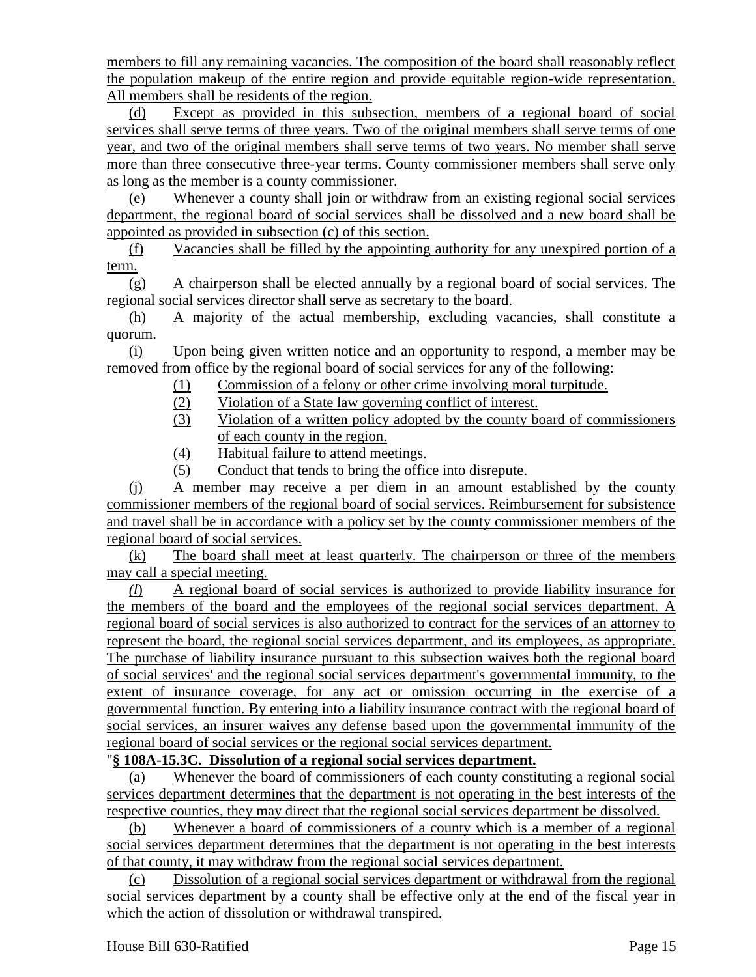members to fill any remaining vacancies. The composition of the board shall reasonably reflect the population makeup of the entire region and provide equitable region-wide representation. All members shall be residents of the region.

(d) Except as provided in this subsection, members of a regional board of social services shall serve terms of three years. Two of the original members shall serve terms of one year, and two of the original members shall serve terms of two years. No member shall serve more than three consecutive three-year terms. County commissioner members shall serve only as long as the member is a county commissioner.

(e) Whenever a county shall join or withdraw from an existing regional social services department, the regional board of social services shall be dissolved and a new board shall be appointed as provided in subsection (c) of this section.

(f) Vacancies shall be filled by the appointing authority for any unexpired portion of a term.

(g) A chairperson shall be elected annually by a regional board of social services. The regional social services director shall serve as secretary to the board.

(h) A majority of the actual membership, excluding vacancies, shall constitute a quorum.

(i) Upon being given written notice and an opportunity to respond, a member may be removed from office by the regional board of social services for any of the following:

- (1) Commission of a felony or other crime involving moral turpitude.
- (2) Violation of a State law governing conflict of interest.
- (3) Violation of a written policy adopted by the county board of commissioners of each county in the region.
- (4) Habitual failure to attend meetings.
- (5) Conduct that tends to bring the office into disrepute.

(j) A member may receive a per diem in an amount established by the county commissioner members of the regional board of social services. Reimbursement for subsistence and travel shall be in accordance with a policy set by the county commissioner members of the regional board of social services.

(k) The board shall meet at least quarterly. The chairperson or three of the members may call a special meeting.

*(l*) A regional board of social services is authorized to provide liability insurance for the members of the board and the employees of the regional social services department. A regional board of social services is also authorized to contract for the services of an attorney to represent the board, the regional social services department, and its employees, as appropriate. The purchase of liability insurance pursuant to this subsection waives both the regional board of social services' and the regional social services department's governmental immunity, to the extent of insurance coverage, for any act or omission occurring in the exercise of a governmental function. By entering into a liability insurance contract with the regional board of social services, an insurer waives any defense based upon the governmental immunity of the regional board of social services or the regional social services department.

## "**§ 108A-15.3C. Dissolution of a regional social services department.**

(a) Whenever the board of commissioners of each county constituting a regional social services department determines that the department is not operating in the best interests of the respective counties, they may direct that the regional social services department be dissolved.

(b) Whenever a board of commissioners of a county which is a member of a regional social services department determines that the department is not operating in the best interests of that county, it may withdraw from the regional social services department.

(c) Dissolution of a regional social services department or withdrawal from the regional social services department by a county shall be effective only at the end of the fiscal year in which the action of dissolution or withdrawal transpired.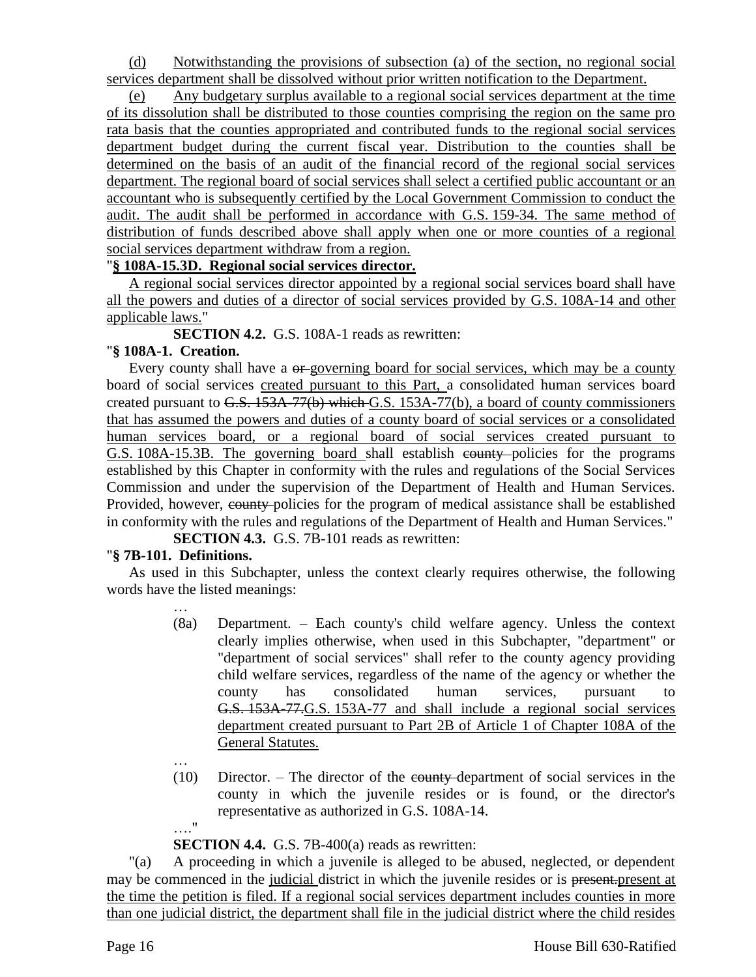(d) Notwithstanding the provisions of subsection (a) of the section, no regional social services department shall be dissolved without prior written notification to the Department.

Any budgetary surplus available to a regional social services department at the time of its dissolution shall be distributed to those counties comprising the region on the same pro rata basis that the counties appropriated and contributed funds to the regional social services department budget during the current fiscal year. Distribution to the counties shall be determined on the basis of an audit of the financial record of the regional social services department. The regional board of social services shall select a certified public accountant or an accountant who is subsequently certified by the Local Government Commission to conduct the audit. The audit shall be performed in accordance with G.S. 159-34. The same method of distribution of funds described above shall apply when one or more counties of a regional social services department withdraw from a region.

## "**§ 108A-15.3D. Regional social services director.**

A regional social services director appointed by a regional social services board shall have all the powers and duties of a director of social services provided by G.S. 108A-14 and other applicable laws."

**SECTION 4.2.** G.S. 108A-1 reads as rewritten:

## "**§ 108A-1. Creation.**

Every county shall have a  $\theta$ -governing board for social services, which may be a county board of social services created pursuant to this Part, a consolidated human services board created pursuant to G.S. 153A-77(b) which G.S. 153A-77(b), a board of county commissioners that has assumed the powers and duties of a county board of social services or a consolidated human services board, or a regional board of social services created pursuant to G.S. 108A-15.3B. The governing board shall establish county policies for the programs established by this Chapter in conformity with the rules and regulations of the Social Services Commission and under the supervision of the Department of Health and Human Services. Provided, however, county-policies for the program of medical assistance shall be established in conformity with the rules and regulations of the Department of Health and Human Services."

**SECTION 4.3.** G.S. 7B-101 reads as rewritten:

# "**§ 7B-101. Definitions.**

…

…

As used in this Subchapter, unless the context clearly requires otherwise, the following words have the listed meanings:

- (8a) Department. Each county's child welfare agency. Unless the context clearly implies otherwise, when used in this Subchapter, "department" or "department of social services" shall refer to the county agency providing child welfare services, regardless of the name of the agency or whether the county has consolidated human services, pursuant to G.S. 153A-77.G.S. 153A-77 and shall include a regional social services department created pursuant to Part 2B of Article 1 of Chapter 108A of the General Statutes.
- (10) Director. The director of the county department of social services in the county in which the juvenile resides or is found, or the director's representative as authorized in G.S. 108A-14. …."

# **SECTION 4.4.** G.S. 7B-400(a) reads as rewritten:

"(a) A proceeding in which a juvenile is alleged to be abused, neglected, or dependent may be commenced in the judicial district in which the juvenile resides or is present-present at the time the petition is filed. If a regional social services department includes counties in more than one judicial district, the department shall file in the judicial district where the child resides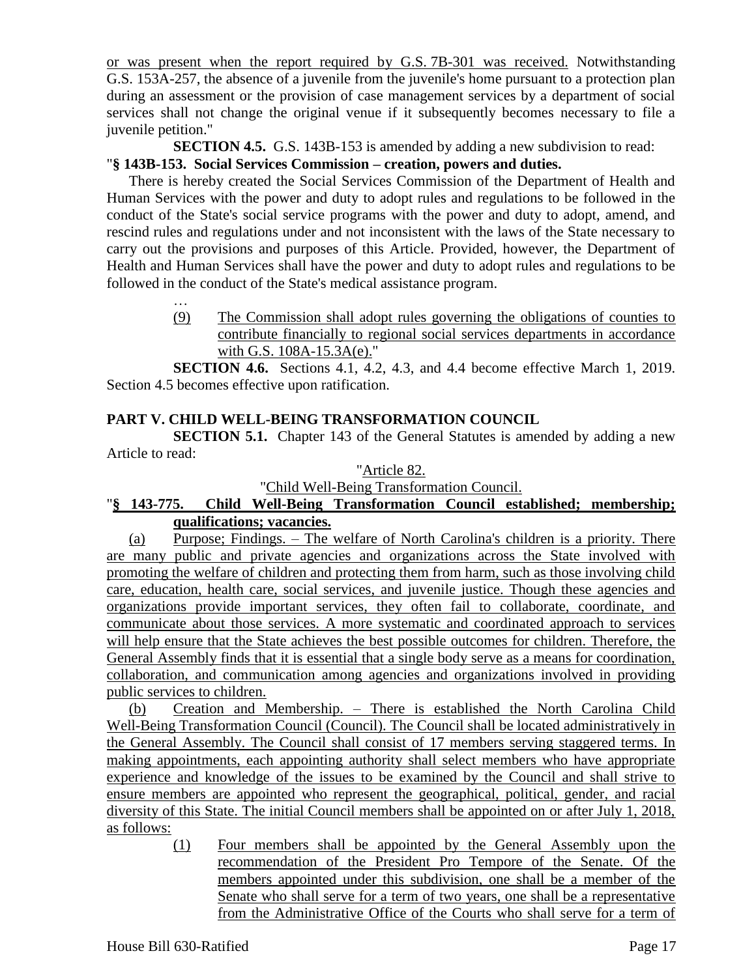or was present when the report required by G.S. 7B-301 was received. Notwithstanding G.S. 153A-257, the absence of a juvenile from the juvenile's home pursuant to a protection plan during an assessment or the provision of case management services by a department of social services shall not change the original venue if it subsequently becomes necessary to file a juvenile petition."

**SECTION 4.5.** G.S. 143B-153 is amended by adding a new subdivision to read:

# "**§ 143B-153. Social Services Commission – creation, powers and duties.**

There is hereby created the Social Services Commission of the Department of Health and Human Services with the power and duty to adopt rules and regulations to be followed in the conduct of the State's social service programs with the power and duty to adopt, amend, and rescind rules and regulations under and not inconsistent with the laws of the State necessary to carry out the provisions and purposes of this Article. Provided, however, the Department of Health and Human Services shall have the power and duty to adopt rules and regulations to be followed in the conduct of the State's medical assistance program.

> … (9) The Commission shall adopt rules governing the obligations of counties to contribute financially to regional social services departments in accordance with G.S. 108A-15.3A(e)."

**SECTION 4.6.** Sections 4.1, 4.2, 4.3, and 4.4 become effective March 1, 2019. Section 4.5 becomes effective upon ratification.

# **PART V. CHILD WELL-BEING TRANSFORMATION COUNCIL**

**SECTION 5.1.** Chapter 143 of the General Statutes is amended by adding a new Article to read:

## "Article 82.

"Child Well-Being Transformation Council.

## "**§ 143-775. Child Well-Being Transformation Council established; membership; qualifications; vacancies.**

(a) Purpose; Findings. – The welfare of North Carolina's children is a priority. There are many public and private agencies and organizations across the State involved with promoting the welfare of children and protecting them from harm, such as those involving child care, education, health care, social services, and juvenile justice. Though these agencies and organizations provide important services, they often fail to collaborate, coordinate, and communicate about those services. A more systematic and coordinated approach to services will help ensure that the State achieves the best possible outcomes for children. Therefore, the General Assembly finds that it is essential that a single body serve as a means for coordination, collaboration, and communication among agencies and organizations involved in providing public services to children.

(b) Creation and Membership. – There is established the North Carolina Child Well-Being Transformation Council (Council). The Council shall be located administratively in the General Assembly. The Council shall consist of 17 members serving staggered terms. In making appointments, each appointing authority shall select members who have appropriate experience and knowledge of the issues to be examined by the Council and shall strive to ensure members are appointed who represent the geographical, political, gender, and racial diversity of this State. The initial Council members shall be appointed on or after July 1, 2018, as follows:

> (1) Four members shall be appointed by the General Assembly upon the recommendation of the President Pro Tempore of the Senate. Of the members appointed under this subdivision, one shall be a member of the Senate who shall serve for a term of two years, one shall be a representative from the Administrative Office of the Courts who shall serve for a term of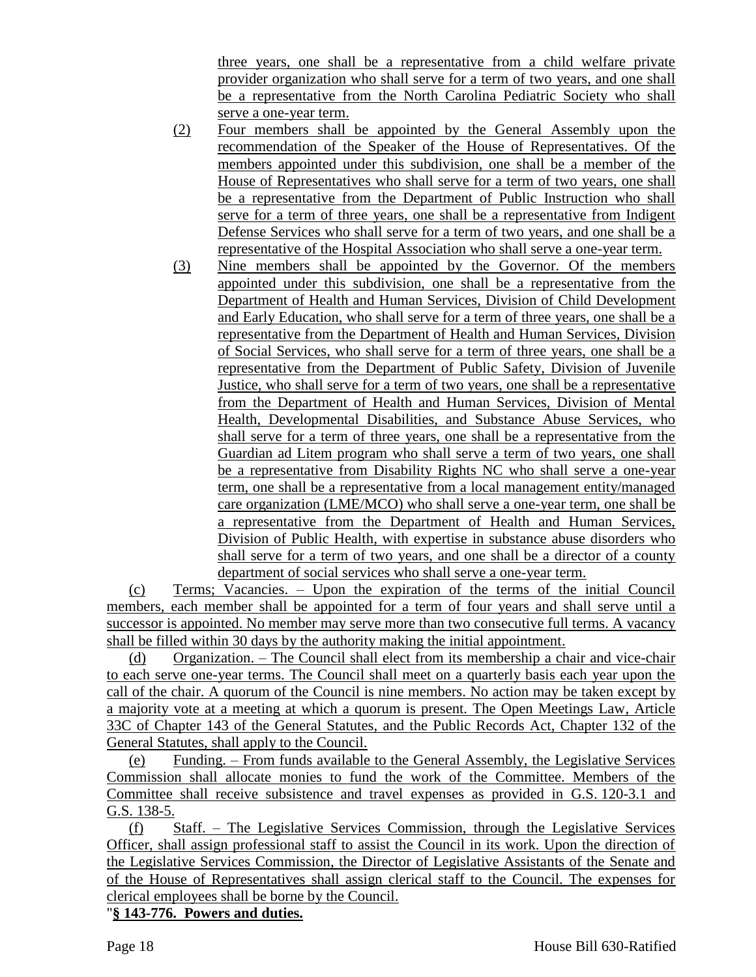three years, one shall be a representative from a child welfare private provider organization who shall serve for a term of two years, and one shall be a representative from the North Carolina Pediatric Society who shall serve a one-year term.

- (2) Four members shall be appointed by the General Assembly upon the recommendation of the Speaker of the House of Representatives. Of the members appointed under this subdivision, one shall be a member of the House of Representatives who shall serve for a term of two years, one shall be a representative from the Department of Public Instruction who shall serve for a term of three years, one shall be a representative from Indigent Defense Services who shall serve for a term of two years, and one shall be a representative of the Hospital Association who shall serve a one-year term.
- (3) Nine members shall be appointed by the Governor. Of the members appointed under this subdivision, one shall be a representative from the Department of Health and Human Services, Division of Child Development and Early Education, who shall serve for a term of three years, one shall be a representative from the Department of Health and Human Services, Division of Social Services, who shall serve for a term of three years, one shall be a representative from the Department of Public Safety, Division of Juvenile Justice, who shall serve for a term of two years, one shall be a representative from the Department of Health and Human Services, Division of Mental Health, Developmental Disabilities, and Substance Abuse Services, who shall serve for a term of three years, one shall be a representative from the Guardian ad Litem program who shall serve a term of two years, one shall be a representative from Disability Rights NC who shall serve a one-year term, one shall be a representative from a local management entity/managed care organization (LME/MCO) who shall serve a one-year term, one shall be a representative from the Department of Health and Human Services, Division of Public Health, with expertise in substance abuse disorders who shall serve for a term of two years, and one shall be a director of a county department of social services who shall serve a one-year term.

(c) Terms; Vacancies. – Upon the expiration of the terms of the initial Council members, each member shall be appointed for a term of four years and shall serve until a successor is appointed. No member may serve more than two consecutive full terms. A vacancy shall be filled within 30 days by the authority making the initial appointment.

(d) Organization. – The Council shall elect from its membership a chair and vice-chair to each serve one-year terms. The Council shall meet on a quarterly basis each year upon the call of the chair. A quorum of the Council is nine members. No action may be taken except by a majority vote at a meeting at which a quorum is present. The Open Meetings Law, Article 33C of Chapter 143 of the General Statutes, and the Public Records Act, Chapter 132 of the General Statutes, shall apply to the Council.

(e) Funding. – From funds available to the General Assembly, the Legislative Services Commission shall allocate monies to fund the work of the Committee. Members of the Committee shall receive subsistence and travel expenses as provided in G.S. 120-3.1 and G.S. 138-5.

(f) Staff. – The Legislative Services Commission, through the Legislative Services Officer, shall assign professional staff to assist the Council in its work. Upon the direction of the Legislative Services Commission, the Director of Legislative Assistants of the Senate and of the House of Representatives shall assign clerical staff to the Council. The expenses for clerical employees shall be borne by the Council.

"**§ 143-776. Powers and duties.**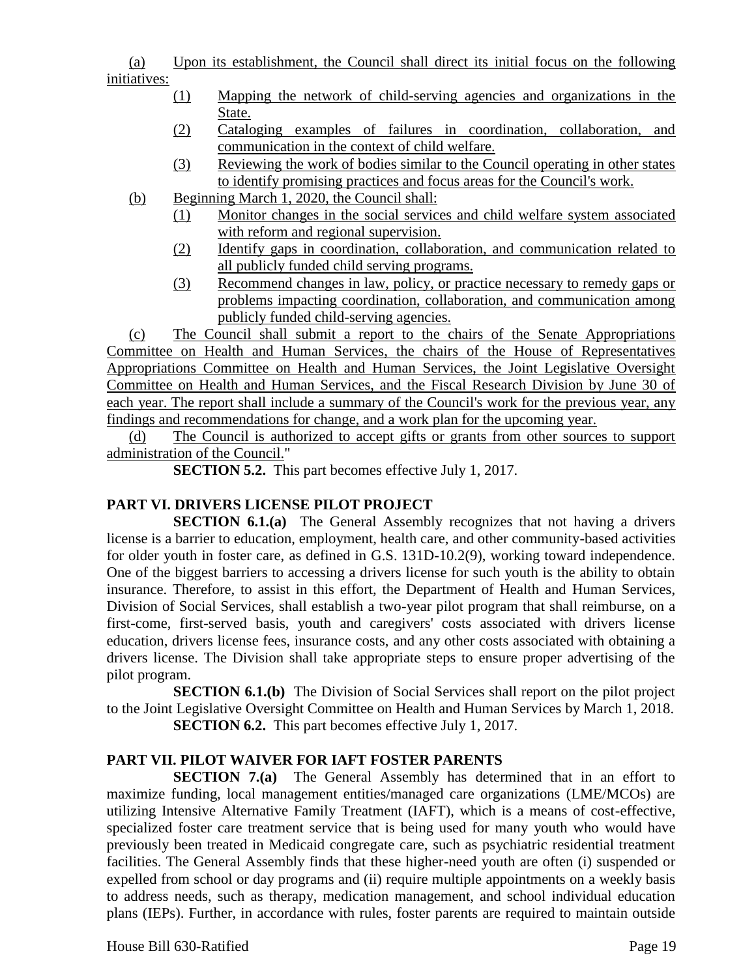(a) Upon its establishment, the Council shall direct its initial focus on the following initiatives:

- (1) Mapping the network of child-serving agencies and organizations in the State.
- (2) Cataloging examples of failures in coordination, collaboration, and communication in the context of child welfare.
- (3) Reviewing the work of bodies similar to the Council operating in other states to identify promising practices and focus areas for the Council's work.
- (b) Beginning March 1, 2020, the Council shall:
	- (1) Monitor changes in the social services and child welfare system associated with reform and regional supervision.
	- (2) Identify gaps in coordination, collaboration, and communication related to all publicly funded child serving programs.
	- (3) Recommend changes in law, policy, or practice necessary to remedy gaps or problems impacting coordination, collaboration, and communication among publicly funded child-serving agencies.

(c) The Council shall submit a report to the chairs of the Senate Appropriations Committee on Health and Human Services, the chairs of the House of Representatives Appropriations Committee on Health and Human Services, the Joint Legislative Oversight Committee on Health and Human Services, and the Fiscal Research Division by June 30 of each year. The report shall include a summary of the Council's work for the previous year, any findings and recommendations for change, and a work plan for the upcoming year.

(d) The Council is authorized to accept gifts or grants from other sources to support administration of the Council."

**SECTION 5.2.** This part becomes effective July 1, 2017.

## **PART VI. DRIVERS LICENSE PILOT PROJECT**

**SECTION 6.1.(a)** The General Assembly recognizes that not having a drivers license is a barrier to education, employment, health care, and other community-based activities for older youth in foster care, as defined in G.S. 131D-10.2(9), working toward independence. One of the biggest barriers to accessing a drivers license for such youth is the ability to obtain insurance. Therefore, to assist in this effort, the Department of Health and Human Services, Division of Social Services, shall establish a two-year pilot program that shall reimburse, on a first-come, first-served basis, youth and caregivers' costs associated with drivers license education, drivers license fees, insurance costs, and any other costs associated with obtaining a drivers license. The Division shall take appropriate steps to ensure proper advertising of the pilot program.

**SECTION 6.1.(b)** The Division of Social Services shall report on the pilot project to the Joint Legislative Oversight Committee on Health and Human Services by March 1, 2018. **SECTION 6.2.** This part becomes effective July 1, 2017.

## **PART VII. PILOT WAIVER FOR IAFT FOSTER PARENTS**

**SECTION 7.(a)** The General Assembly has determined that in an effort to maximize funding, local management entities/managed care organizations (LME/MCOs) are utilizing Intensive Alternative Family Treatment (IAFT), which is a means of cost-effective, specialized foster care treatment service that is being used for many youth who would have previously been treated in Medicaid congregate care, such as psychiatric residential treatment facilities. The General Assembly finds that these higher-need youth are often (i) suspended or expelled from school or day programs and (ii) require multiple appointments on a weekly basis to address needs, such as therapy, medication management, and school individual education plans (IEPs). Further, in accordance with rules, foster parents are required to maintain outside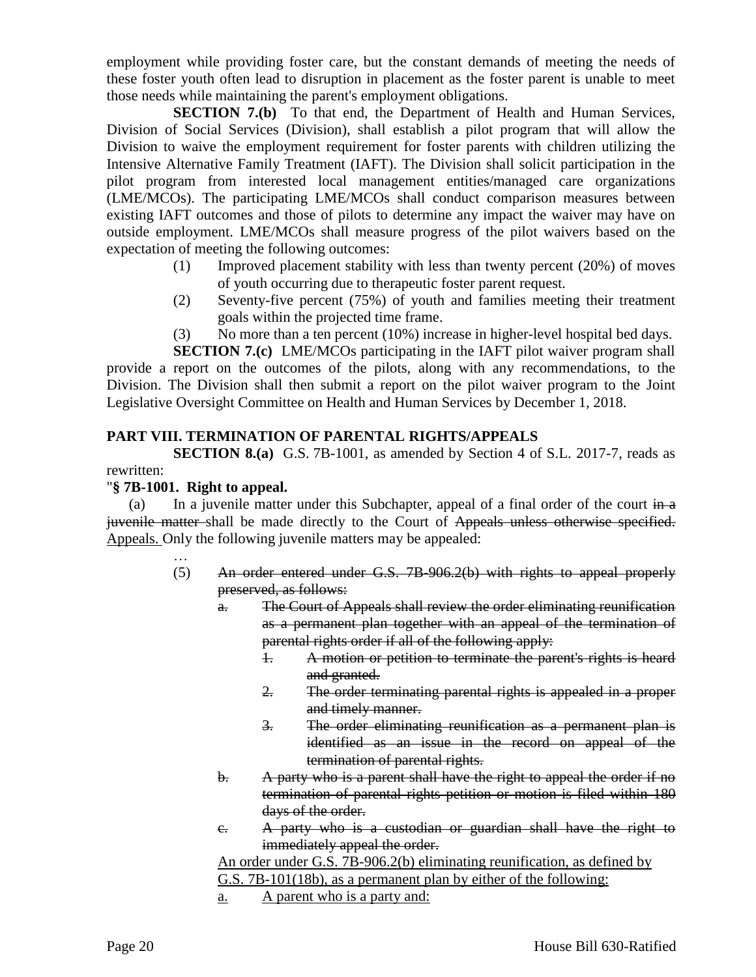employment while providing foster care, but the constant demands of meeting the needs of these foster youth often lead to disruption in placement as the foster parent is unable to meet those needs while maintaining the parent's employment obligations.

**SECTION 7.(b)** To that end, the Department of Health and Human Services, Division of Social Services (Division), shall establish a pilot program that will allow the Division to waive the employment requirement for foster parents with children utilizing the Intensive Alternative Family Treatment (IAFT). The Division shall solicit participation in the pilot program from interested local management entities/managed care organizations (LME/MCOs). The participating LME/MCOs shall conduct comparison measures between existing IAFT outcomes and those of pilots to determine any impact the waiver may have on outside employment. LME/MCOs shall measure progress of the pilot waivers based on the expectation of meeting the following outcomes:

- (1) Improved placement stability with less than twenty percent (20%) of moves of youth occurring due to therapeutic foster parent request.
- (2) Seventy-five percent (75%) of youth and families meeting their treatment goals within the projected time frame.
- (3) No more than a ten percent  $(10\%)$  increase in higher-level hospital bed days.

**SECTION 7.(c)** LME/MCOs participating in the IAFT pilot waiver program shall provide a report on the outcomes of the pilots, along with any recommendations, to the Division. The Division shall then submit a report on the pilot waiver program to the Joint Legislative Oversight Committee on Health and Human Services by December 1, 2018.

#### **PART VIII. TERMINATION OF PARENTAL RIGHTS/APPEALS**

**SECTION 8.(a)** G.S. 7B-1001, as amended by Section 4 of S.L. 2017-7, reads as

#### rewritten:

#### "**§ 7B-1001. Right to appeal.**

…

(a) In a juvenile matter under this Subchapter, appeal of a final order of the court  $\frac{1}{\ln a}$ juvenile matter shall be made directly to the Court of Appeals unless otherwise specified. Appeals. Only the following juvenile matters may be appealed:

- (5) An order entered under G.S. 7B-906.2(b) with rights to appeal properly preserved, as follows:
	- a. The Court of Appeals shall review the order eliminating reunification as a permanent plan together with an appeal of the termination of parental rights order if all of the following apply:
		- 1. A motion or petition to terminate the parent's rights is heard and granted.
		- 2. The order terminating parental rights is appealed in a proper and timely manner.
		- 3. The order eliminating reunification as a permanent plan is identified as an issue in the record on appeal of the termination of parental rights.
	- b. A party who is a parent shall have the right to appeal the order if no termination of parental rights petition or motion is filed within 180 days of the order.
	- c. A party who is a custodian or guardian shall have the right to immediately appeal the order.

An order under G.S. 7B-906.2(b) eliminating reunification, as defined by

G.S. 7B-101(18b), as a permanent plan by either of the following:

a. A parent who is a party and: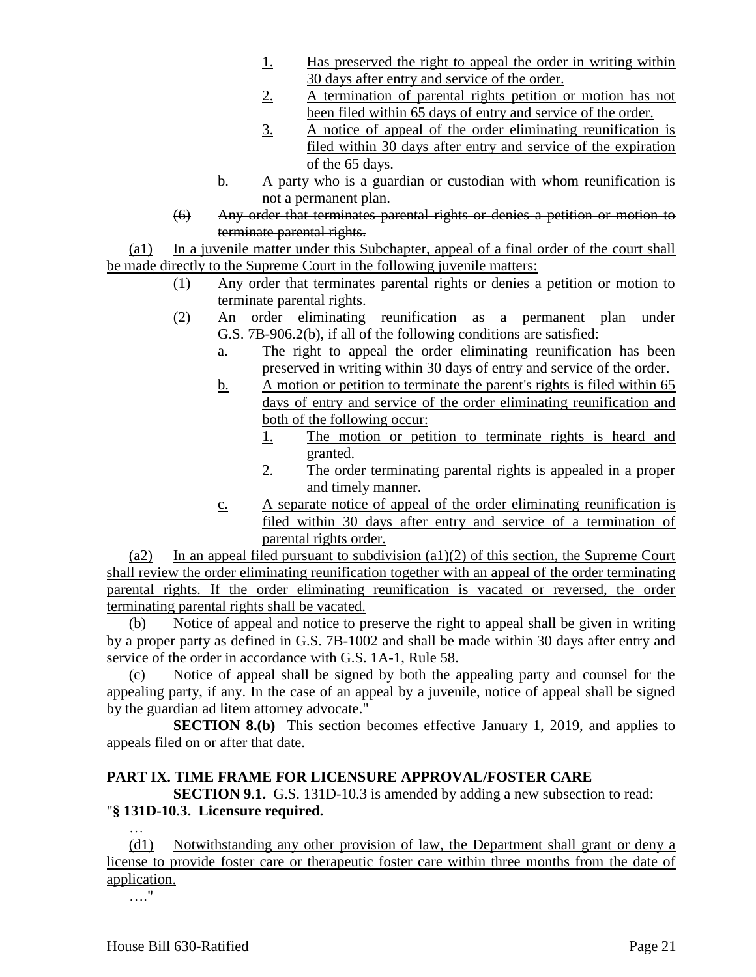- 1. Has preserved the right to appeal the order in writing within 30 days after entry and service of the order.
- 2. A termination of parental rights petition or motion has not been filed within 65 days of entry and service of the order.
- 3. A notice of appeal of the order eliminating reunification is filed within 30 days after entry and service of the expiration of the 65 days.
- b. A party who is a guardian or custodian with whom reunification is not a permanent plan.
- (6) Any order that terminates parental rights or denies a petition or motion to terminate parental rights.

(a1) In a juvenile matter under this Subchapter, appeal of a final order of the court shall be made directly to the Supreme Court in the following juvenile matters:

- (1) Any order that terminates parental rights or denies a petition or motion to terminate parental rights.
- (2) An order eliminating reunification as a permanent plan under G.S. 7B-906.2(b), if all of the following conditions are satisfied:
	- a. The right to appeal the order eliminating reunification has been preserved in writing within 30 days of entry and service of the order.
	- b. A motion or petition to terminate the parent's rights is filed within 65 days of entry and service of the order eliminating reunification and both of the following occur:
		- 1. The motion or petition to terminate rights is heard and granted.
		- 2. The order terminating parental rights is appealed in a proper and timely manner.
	- c. A separate notice of appeal of the order eliminating reunification is filed within 30 days after entry and service of a termination of parental rights order.

(a2) In an appeal filed pursuant to subdivision  $(a1)(2)$  of this section, the Supreme Court shall review the order eliminating reunification together with an appeal of the order terminating parental rights. If the order eliminating reunification is vacated or reversed, the order terminating parental rights shall be vacated.

(b) Notice of appeal and notice to preserve the right to appeal shall be given in writing by a proper party as defined in G.S. 7B-1002 and shall be made within 30 days after entry and service of the order in accordance with G.S. 1A-1, Rule 58.

(c) Notice of appeal shall be signed by both the appealing party and counsel for the appealing party, if any. In the case of an appeal by a juvenile, notice of appeal shall be signed by the guardian ad litem attorney advocate."

**SECTION 8.(b)** This section becomes effective January 1, 2019, and applies to appeals filed on or after that date.

# **PART IX. TIME FRAME FOR LICENSURE APPROVAL/FOSTER CARE**

**SECTION 9.1.** G.S. 131D-10.3 is amended by adding a new subsection to read: "**§ 131D-10.3. Licensure required.** …

(d1) Notwithstanding any other provision of law, the Department shall grant or deny a license to provide foster care or therapeutic foster care within three months from the date of application.

…."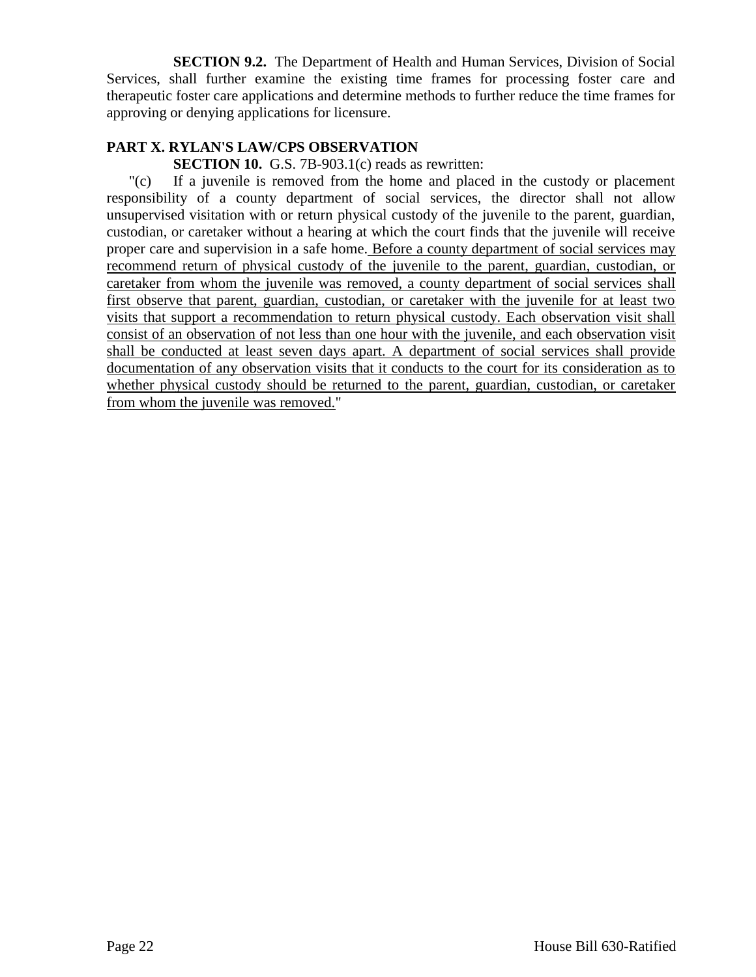**SECTION 9.2.** The Department of Health and Human Services, Division of Social Services, shall further examine the existing time frames for processing foster care and therapeutic foster care applications and determine methods to further reduce the time frames for approving or denying applications for licensure.

## **PART X. RYLAN'S LAW/CPS OBSERVATION**

**SECTION 10.** G.S. 7B-903.1(c) reads as rewritten:

"(c) If a juvenile is removed from the home and placed in the custody or placement responsibility of a county department of social services, the director shall not allow unsupervised visitation with or return physical custody of the juvenile to the parent, guardian, custodian, or caretaker without a hearing at which the court finds that the juvenile will receive proper care and supervision in a safe home. Before a county department of social services may recommend return of physical custody of the juvenile to the parent, guardian, custodian, or caretaker from whom the juvenile was removed, a county department of social services shall first observe that parent, guardian, custodian, or caretaker with the juvenile for at least two visits that support a recommendation to return physical custody. Each observation visit shall consist of an observation of not less than one hour with the juvenile, and each observation visit shall be conducted at least seven days apart. A department of social services shall provide documentation of any observation visits that it conducts to the court for its consideration as to whether physical custody should be returned to the parent, guardian, custodian, or caretaker from whom the juvenile was removed."